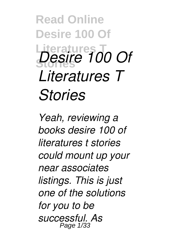**Read Online Desire 100 Of Literatures T Stories** *Desire 100 Of Literatures T Stories*

*Yeah, reviewing a books desire 100 of literatures t stories could mount up your near associates listings. This is just one of the solutions for you to be successful. As* Page 1/33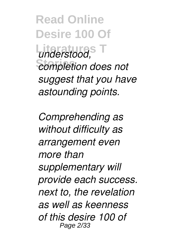**Read Online Desire 100 Of Literatures T** *understood,*  $c$ *completion does not suggest that you have astounding points.*

*Comprehending as without difficulty as arrangement even more than supplementary will provide each success. next to, the revelation as well as keenness of this desire 100 of* Page 2/33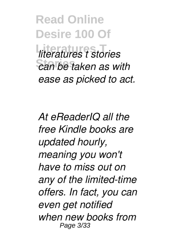**Read Online Desire 100 Of Literatures T** *literatures t stories*  $\overline{c}$  an be taken as with *ease as picked to act.*

*At eReaderIQ all the free Kindle books are updated hourly, meaning you won't have to miss out on any of the limited-time offers. In fact, you can even get notified when new books from* Page 3/33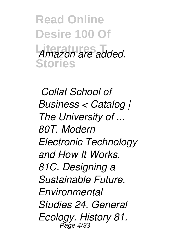**Read Online Desire 100 Of** Amazon are added. **Stories**

*Collat School of Business < Catalog | The University of ... 80T. Modern Electronic Technology and How It Works. 81C. Designing a Sustainable Future. Environmental Studies 24. General Ecology. History 81.* Page 4/33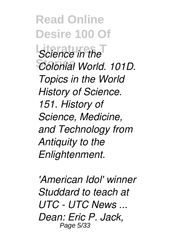**Read Online Desire 100 Of Little** Science in the **Stories** *Colonial World. 101D. Topics in the World History of Science. 151. History of Science, Medicine, and Technology from Antiquity to the Enlightenment.*

*'American Idol' winner Studdard to teach at UTC - UTC News ... Dean: Eric P. Jack,* Page 5/33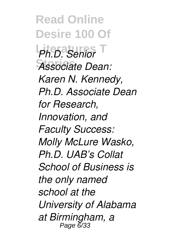**Read Online Desire 100 Of Literatures T** *Ph.D. Senior* **Stories** *Associate Dean: Karen N. Kennedy, Ph.D. Associate Dean for Research, Innovation, and Faculty Success: Molly McLure Wasko, Ph.D. UAB's Collat School of Business is the only named school at the University of Alabama at Birmingham, a* Page 6/33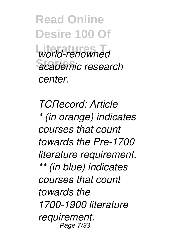**Read Online Desire 100 Of Literatures T** *world-renowned* **Stories** *academic research center.*

*TCRecord: Article \* (in orange) indicates courses that count towards the Pre-1700 literature requirement. \*\* (in blue) indicates courses that count towards the 1700-1900 literature requirement.* Page 7/33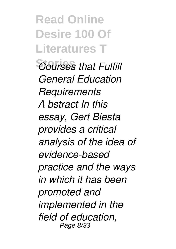**Read Online Desire 100 Of Literatures T Courses that Fulfill** *General Education Requirements A bstract In this essay, Gert Biesta provides a critical analysis of the idea of evidence-based practice and the ways in which it has been promoted and implemented in the field of education,* Page 8/33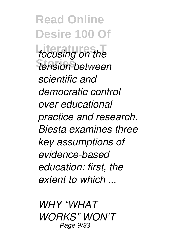**Read Online Desire 100 Of** *focusing on the* **Stories** *tension between scientific and democratic control over educational practice and research. Biesta examines three key assumptions of evidence-based education: first, the extent to which ...*

*WHY "WHAT WORKS" WON'T* Page 9/33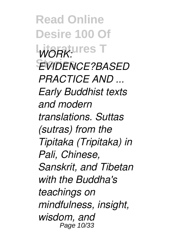**Read Online Desire 100 Of WORK: LITTES Stories** *EVIDENCE?BASED PRACTICE AND ... Early Buddhist texts and modern translations. Suttas (sutras) from the Tipitaka (Tripitaka) in Pali, Chinese, Sanskrit, and Tibetan with the Buddha's teachings on mindfulness, insight, wisdom, and* Page 10/33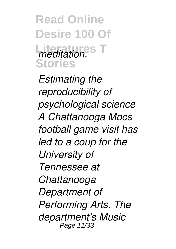**Read Online Desire 100 Of** *meditation.*<sup>8</sup> **Stories**

*Estimating the reproducibility of psychological science A Chattanooga Mocs football game visit has led to a coup for the University of Tennessee at Chattanooga Department of Performing Arts. The department's Music* Page 11/33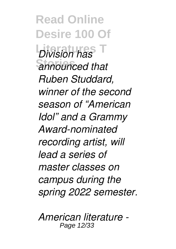**Read Online Desire 100 Of Literatures T** *Division has* **Stories** *announced that Ruben Studdard, winner of the second season of "American Idol" and a Grammy Award-nominated recording artist, will lead a series of master classes on campus during the spring 2022 semester.*

*American literature -* Page 12/33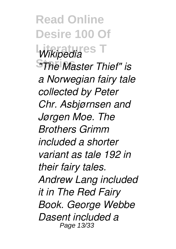**Read Online Desire 100 Of** *Wikipedia*<sup>es</sup> **Stories** *"The Master Thief" is a Norwegian fairy tale collected by Peter Chr. Asbjørnsen and Jørgen Moe. The Brothers Grimm included a shorter variant as tale 192 in their fairy tales. Andrew Lang included it in The Red Fairy Book. George Webbe Dasent included a* Page 13/33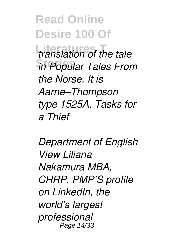**Read Online Desire 100 Of Literatures T** *translation of the tale* **Stories** *in Popular Tales From the Norse. It is Aarne–Thompson type 1525A, Tasks for a Thief*

*Department of English View Liliana Nakamura MBA, CHRP, PMP'S profile on LinkedIn, the world's largest professional* Page 14/33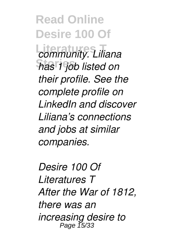**Read Online Desire 100 Of Literatures T** *community. Liliana* **Stories** *has 1 job listed on their profile. See the complete profile on LinkedIn and discover Liliana's connections and jobs at similar companies.*

*Desire 100 Of Literatures T After the War of 1812, there was an increasing desire to* Page 15/33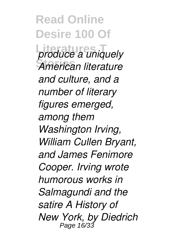**Read Online Desire 100 Of** produce a uniquely **Stories** *American literature and culture, and a number of literary figures emerged, among them Washington Irving, William Cullen Bryant, and James Fenimore Cooper. Irving wrote humorous works in Salmagundi and the satire A History of New York, by Diedrich* Page 16/3: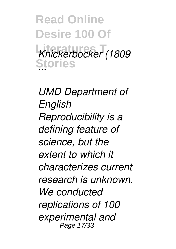**Read Online Desire 100 Of Literatures T** *Knickerbocker (1809* **Stories** *...*

*UMD Department of English Reproducibility is a defining feature of science, but the extent to which it characterizes current research is unknown. We conducted replications of 100 experimental and* Page 17/33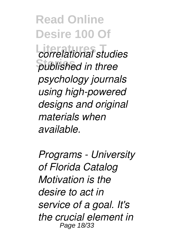**Read Online Desire 100 Of Literatures T** *correlational studies*  $public$ *hublished in three psychology journals using high-powered designs and original materials when available.*

*Programs - University of Florida Catalog Motivation is the desire to act in service of a goal. It's the crucial element in* Page 18/33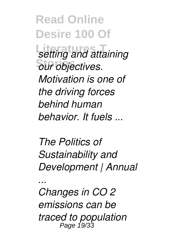**Read Online Desire 100 Of** *<u>setting</u> and attaining* **Stories** *our objectives. Motivation is one of the driving forces behind human behavior. It fuels ...*

*The Politics of Sustainability and Development | Annual*

*Changes in CO 2 emissions can be traced to population* Page 19/33

*...*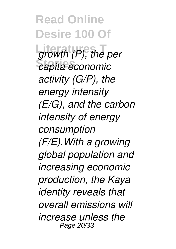**Read Online Desire 100 Of** growth (P), the per **Stories** *capita economic activity (G/P), the energy intensity (E/G), and the carbon intensity of energy consumption (F/E).With a growing global population and increasing economic production, the Kaya identity reveals that overall emissions will increase unless the* Page 20/33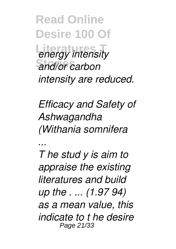**Read Online Desire 100 Of** *<u>energy</u> intensity* **Stories** *and/or carbon intensity are reduced.*

*Efficacy and Safety of Ashwagandha (Withania somnifera*

*...*

*T he stud y is aim to appraise the existing literatures and build up the . ... (1.97 94) as a mean value, this indicate to t he desire* Page 21/33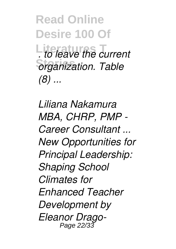**Read Online Desire 100 Of Literatures T** *. to leave the current*  $<sub>organization</sub>$ . Table</sub> *(8) ...*

*Liliana Nakamura MBA, CHRP, PMP - Career Consultant ... New Opportunities for Principal Leadership: Shaping School Climates for Enhanced Teacher Development by Eleanor Drago-*Page 22/33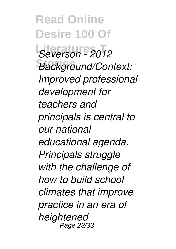**Read Online Desire 100 Of Literatures T** *Severson - 2012* **Stories** *Background/Context: Improved professional development for teachers and principals is central to our national educational agenda. Principals struggle with the challenge of how to build school climates that improve practice in an era of heightened* Page 23/33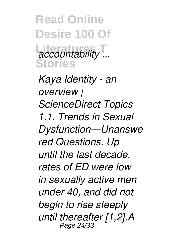**Read Online Desire 100 Of Literatures T** *accountability ...* **Stories**

*Kaya Identity - an overview | ScienceDirect Topics 1.1. Trends in Sexual Dysfunction—Unanswe red Questions. Up until the last decade, rates of ED were low in sexually active men under 40, and did not begin to rise steeply until thereafter [1,2].A* Page 24/33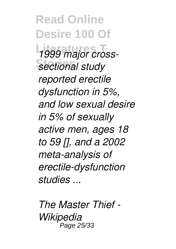**Read Online Desire 100 Of Literatures T** *1999 major cross-***Stories** *sectional study reported erectile dysfunction in 5%, and low sexual desire in 5% of sexually active men, ages 18 to 59 [], and a 2002 meta-analysis of erectile-dysfunction studies ...*

*The Master Thief - Wikipedia* Page 25/33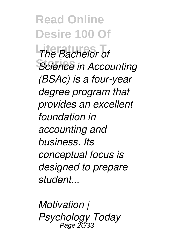**Read Online Desire 100 Of** *The Bachelor of* **Stories** *Science in Accounting (BSAc) is a four-year degree program that provides an excellent foundation in accounting and business. Its conceptual focus is designed to prepare student...*

*Motivation | Psychology Today* Page 26/33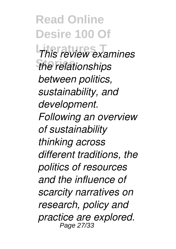**Read Online Desire 100 Of Literatures T** *This review examines*  $the$  relationships *between politics, sustainability, and development. Following an overview of sustainability thinking across different traditions, the politics of resources and the influence of scarcity narratives on research, policy and practice are explored.* Page 27/33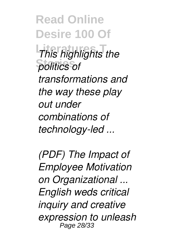**Read Online Desire 100 Of** *This highlights the* **Stories** *politics of transformations and the way these play out under combinations of technology-led ...*

*(PDF) The Impact of Employee Motivation on Organizational ... English weds critical inquiry and creative expression to unleash* Page 28/33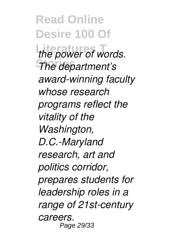**Read Online Desire 100 Of** the power of words. **Stories** *The department's award-winning faculty whose research programs reflect the vitality of the Washington, D.C.-Maryland research, art and politics corridor, prepares students for leadership roles in a range of 21st-century careers.* Page 29/33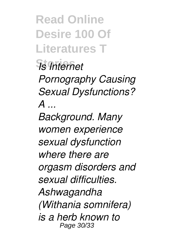**Read Online Desire 100 Of Literatures T**

**Stories** *Is Internet*

*Pornography Causing Sexual Dysfunctions? A ...*

*Background. Many women experience sexual dysfunction where there are orgasm disorders and sexual difficulties. Ashwagandha (Withania somnifera) is a herb known to* Page 30/33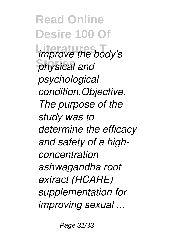**Read Online Desire 100 Of** *improve the body's* **Stories** *physical and psychological condition.Objective. The purpose of the study was to determine the efficacy and safety of a highconcentration ashwagandha root extract (HCARE) supplementation for improving sexual ...*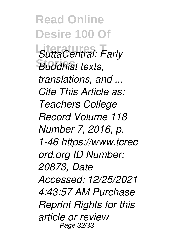**Read Online Desire 100 Of SuttaCentral: Early Stories** *Buddhist texts, translations, and ... Cite This Article as: Teachers College Record Volume 118 Number 7, 2016, p. 1-46 https://www.tcrec ord.org ID Number: 20873, Date Accessed: 12/25/2021 4:43:57 AM Purchase Reprint Rights for this article or review* Page 32/33